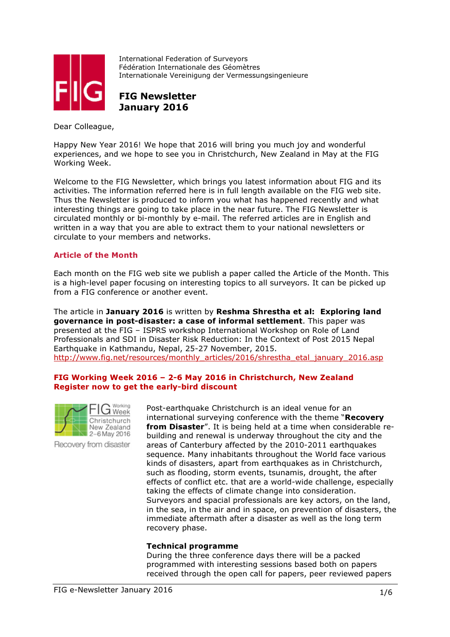

International Federation of Surveyors Fédération Internationale des Géomètres Internationale Vereinigung der Vermessungsingenieure

FIG Newsletter January 2016

Dear Colleague,

Happy New Year 2016! We hope that 2016 will bring you much joy and wonderful experiences, and we hope to see you in Christchurch, New Zealand in May at the FIG Working Week.

Welcome to the FIG Newsletter, which brings you latest information about FIG and its activities. The information referred here is in full length available on the FIG web site. Thus the Newsletter is produced to inform you what has happened recently and what interesting things are going to take place in the near future. The FIG Newsletter is circulated monthly or bi-monthly by e-mail. The referred articles are in English and written in a way that you are able to extract them to your national newsletters or circulate to your members and networks.

# Article of the Month

Each month on the FIG web site we publish a paper called the Article of the Month. This is a high-level paper focusing on interesting topics to all surveyors. It can be picked up from a FIG conference or another event.

The article in January 2016 is written by Reshma Shrestha et al: Exploring land governance in post-disaster: a case of informal settlement. This paper was presented at the FIG – ISPRS workshop International Workshop on Role of Land Professionals and SDI in Disaster Risk Reduction: In the Context of Post 2015 Nepal Earthquake in Kathmandu, Nepal, 25-27 November, 2015. http://www.fig.net/resources/monthly\_articles/2016/shrestha\_etal\_january\_2016.asp

#### FIG Working Week 2016 – 2-6 May 2016 in Christchurch, New Zealand Register now to get the early-bird discount



Recovery from disaster

Post-earthquake Christchurch is an ideal venue for an international surveying conference with the theme "Recovery from Disaster". It is being held at a time when considerable rebuilding and renewal is underway throughout the city and the areas of Canterbury affected by the 2010-2011 earthquakes sequence. Many inhabitants throughout the World face various kinds of disasters, apart from earthquakes as in Christchurch, such as flooding, storm events, tsunamis, drought, the after effects of conflict etc. that are a world-wide challenge, especially taking the effects of climate change into consideration. Surveyors and spacial professionals are key actors, on the land, in the sea, in the air and in space, on prevention of disasters, the immediate aftermath after a disaster as well as the long term recovery phase.

#### Technical programme

During the three conference days there will be a packed programmed with interesting sessions based both on papers received through the open call for papers, peer reviewed papers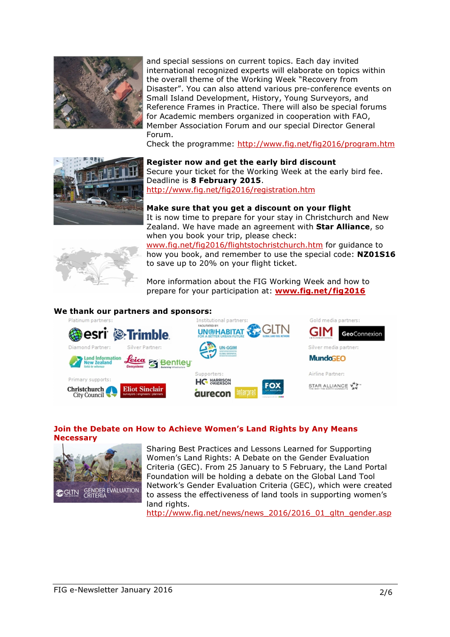

and special sessions on current topics. Each day invited international recognized experts will elaborate on topics within the overall theme of the Working Week "Recovery from Disaster". You can also attend various pre-conference events on Small Island Development, History, Young Surveyors, and Reference Frames in Practice. There will also be special forums for Academic members organized in cooperation with FAO, Member Association Forum and our special Director General Forum.

Check the programme: http://www.fig.net/fig2016/program.htm



Register now and get the early bird discount Secure your ticket for the Working Week at the early bird fee. Deadline is 8 February 2015. http://www.fig.net/fig2016/registration.htm

# Make sure that you get a discount on your flight

It is now time to prepare for your stay in Christchurch and New Zealand. We have made an agreement with Star Alliance, so when you book your trip, please check:



www.fig.net/fig2016/flightstochristchurch.htm for guidance to how you book, and remember to use the special code: NZ01S16 to save up to 20% on your flight ticket.

More information about the FIG Working Week and how to prepare for your participation at: **www.fig.net/fig2016** 

# We thank our partners and sponsors:



# Join the Debate on How to Achieve Women's Land Rights by Any Means **Necessary**



Sharing Best Practices and Lessons Learned for Supporting Women's Land Rights: A Debate on the Gender Evaluation Criteria (GEC). From 25 January to 5 February, the Land Portal Foundation will be holding a debate on the Global Land Tool Network's Gender Evaluation Criteria (GEC), which were created to assess the effectiveness of land tools in supporting women's land rights.

http://www.fig.net/news/news\_2016/2016\_01\_gltn\_gender.asp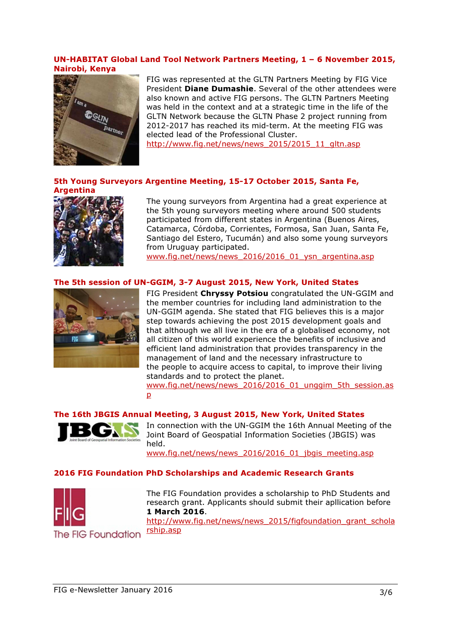#### UN-HABITAT Global Land Tool Network Partners Meeting, 1 – 6 November 2015, Nairobi, Kenya



FIG was represented at the GLTN Partners Meeting by FIG Vice President **Diane Dumashie**. Several of the other attendees were also known and active FIG persons. The GLTN Partners Meeting was held in the context and at a strategic time in the life of the GLTN Network because the GLTN Phase 2 project running from 2012-2017 has reached its mid-term. At the meeting FIG was elected lead of the Professional Cluster.

http://www.fig.net/news/news\_2015/2015\_11\_gltn.asp

# 5th Young Surveyors Argentine Meeting, 15-17 October 2015, Santa Fe, Argentina



The young surveyors from Argentina had a great experience at the 5th young surveyors meeting where around 500 students participated from different states in Argentina (Buenos Aires, Catamarca, Córdoba, Corrientes, Formosa, San Juan, Santa Fe, Santiago del Estero, Tucumán) and also some young surveyors from Uruguay participated.

www.fig.net/news/news\_2016/2016\_01\_ysn\_argentina.asp

# The 5th session of UN-GGIM, 3-7 August 2015, New York, United States



FIG President Chryssy Potsiou congratulated the UN-GGIM and the member countries for including land administration to the UN-GGIM agenda. She stated that FIG believes this is a major step towards achieving the post 2015 development goals and that although we all live in the era of a globalised economy, not all citizen of this world experience the benefits of inclusive and efficient land administration that provides transparency in the management of land and the necessary infrastructure to the people to acquire access to capital, to improve their living standards and to protect the planet.

www.fig.net/news/news\_2016/2016\_01\_unggim\_5th\_session.as p

# The 16th JBGIS Annual Meeting, 3 August 2015, New York, United States



In connection with the UN-GGIM the 16th Annual Meeting of the Joint Board of Geospatial Information Societies (JBGIS) was held.

www.fig.net/news/news\_2016/2016\_01\_jbgis\_meeting.asp

#### 2016 FIG Foundation PhD Scholarships and Academic Research Grants



The FIG Foundation provides a scholarship to PhD Students and research grant. Applicants should submit their apllication before 1 March 2016.

http://www.fig.net/news/news\_2015/figfoundation\_grant\_schola rship.asp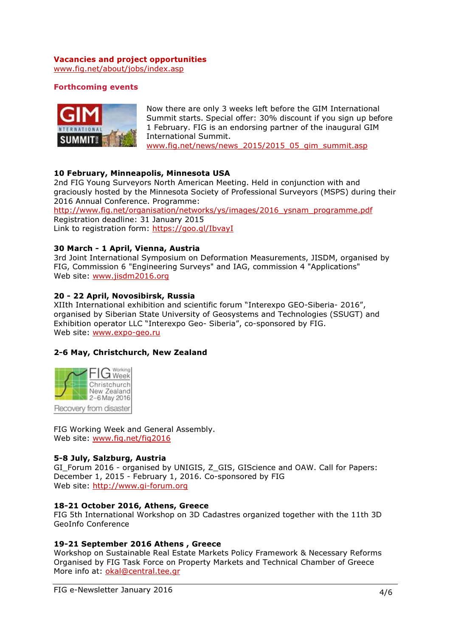# Vacancies and project opportunities

www.fig.net/about/jobs/index.asp

# Forthcoming events



Now there are only 3 weeks left before the GIM International Summit starts. Special offer: 30% discount if you sign up before 1 February. FIG is an endorsing partner of the inaugural GIM International Summit. www.fig.net/news/news\_2015/2015\_05\_gim\_summit.asp

10 February, Minneapolis, Minnesota USA

2nd FIG Young Surveyors North American Meeting. Held in conjunction with and graciously hosted by the Minnesota Society of Professional Surveyors (MSPS) during their 2016 Annual Conference. Programme:

http://www.fig.net/organisation/networks/ys/images/2016\_ysnam\_programme.pdf Registration deadline: 31 January 2015 Link to registration form: https://goo.gl/IbvayI

# 30 March - 1 April, Vienna, Austria

3rd Joint International Symposium on Deformation Measurements, JISDM, organised by FIG, Commission 6 "Engineering Surveys" and IAG, commission 4 "Applications" Web site: www.jisdm2016.org

# 20 - 22 April, Novosibirsk, Russia

XIIth International exhibition and scientific forum "Interexpo GEO-Siberia- 2016", organised by Siberian State University of Geosystems and Technologies (SSUGT) and Exhibition operator LLC "Interexpo Geo- Siberia", co-sponsored by FIG. Web site: www.expo-geo.ru

# 2-6 May, Christchurch, New Zealand



FIG Working Week and General Assembly. Web site: www.fig.net/fig2016

# 5-8 July, Salzburg, Austria

GI\_Forum 2016 - organised by UNIGIS, Z\_GIS, GIScience and OAW. Call for Papers: December 1, 2015 - February 1, 2016. Co-sponsored by FIG Web site: http://www.gi-forum.org

# 18-21 October 2016, Athens, Greece

FIG 5th International Workshop on 3D Cadastres organized together with the 11th 3D GeoInfo Conference

# 19-21 September 2016 Athens , Greece

Workshop on Sustainable Real Estate Markets Policy Framework & Necessary Reforms Organised by FIG Task Force on Property Markets and Technical Chamber of Greece More info at: okal@central.tee.gr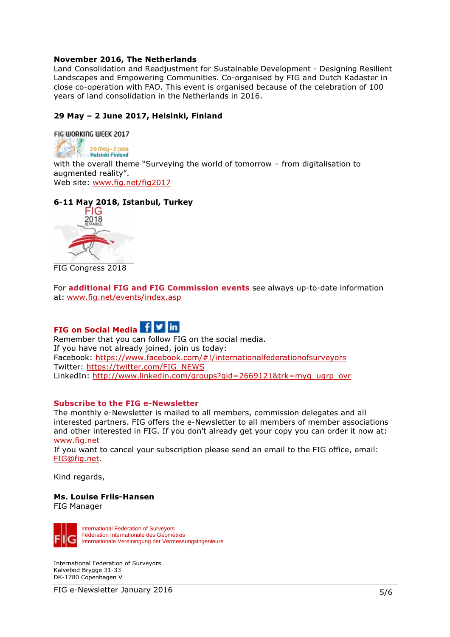#### November 2016, The Netherlands

Land Consolidation and Readjustment for Sustainable Development - Designing Resilient Landscapes and Empowering Communities. Co-organised by FIG and Dutch Kadaster in close co-operation with FAO. This event is organised because of the celebration of 100 years of land consolidation in the Netherlands in 2016.

# 29 May – 2 June 2017, Helsinki, Finland

FIG WORKING WEEK 2017

29 May - 2 June **Helsinki Finland** with the overall theme "Surveying the world of tomorrow – from digitalisation to augmented reality". Web site: www.fig.net/fig2017

# 6-11 May 2018, Istanbul, Turkey



FIG Congress 2018

For **additional FIG and FIG Commission events** see always up-to-date information at: www.fig.net/events/index.asp

# FIG on Social Media | f | y | in

Remember that you can follow FIG on the social media. If you have not already joined, join us today: Facebook: https://www.facebook.com/#!/internationalfederationofsurveyors Twitter: https://twitter.com/FIG\_NEWS LinkedIn: http://www.linkedin.com/groups?gid=2669121&trk=myg\_ugrp\_ovr

#### Subscribe to the FIG e-Newsletter

The monthly e-Newsletter is mailed to all members, commission delegates and all interested partners. FIG offers the e-Newsletter to all members of member associations and other interested in FIG. If you don't already get your copy you can order it now at: www.fig.net

If you want to cancel your subscription please send an email to the FIG office, email: FIG@fig.net.

Kind regards,

#### Ms. Louise Friis-Hansen FIG Manager

International Federation of Surveyors Fédération Internationale des Géomètres Internationale Vereiningung der Vermessungsingenieure

International Federation of Surveyors Kalvebod Brygge 31-33 DK-1780 Copenhagen V